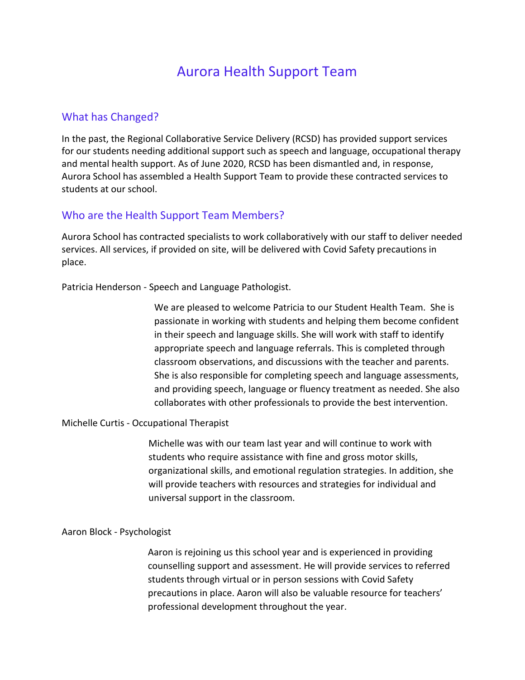# Aurora Health Support Team

## What has Changed?

In the past, the Regional Collaborative Service Delivery (RCSD) has provided support services for our students needing additional support such as speech and language, occupational therapy and mental health support. As of June 2020, RCSD has been dismantled and, in response, Aurora School has assembled a Health Support Team to provide these contracted services to students at our school.

## Who are the Health Support Team Members?

Aurora School has contracted specialists to work collaboratively with our staff to deliver needed services. All services, if provided on site, will be delivered with Covid Safety precautions in place.

Patricia Henderson - Speech and Language Pathologist.

We are pleased to welcome Patricia to our Student Health Team. She is passionate in working with students and helping them become confident in their speech and language skills. She will work with staff to identify appropriate speech and language referrals. This is completed through classroom observations, and discussions with the teacher and parents. She is also responsible for completing speech and language assessments, and providing speech, language or fluency treatment as needed. She also collaborates with other professionals to provide the best intervention.

#### Michelle Curtis - Occupational Therapist

Michelle was with our team last year and will continue to work with students who require assistance with fine and gross motor skills, organizational skills, and emotional regulation strategies. In addition, she will provide teachers with resources and strategies for individual and universal support in the classroom.

#### Aaron Block - Psychologist

Aaron is rejoining us this school year and is experienced in providing counselling support and assessment. He will provide services to referred students through virtual or in person sessions with Covid Safety precautions in place. Aaron will also be valuable resource for teachers' professional development throughout the year.